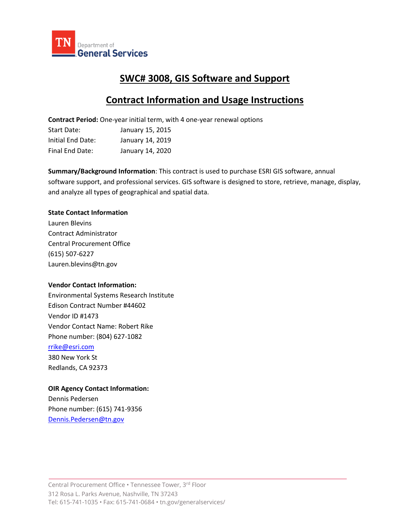

# **SWC# 3008, GIS Software and Support**

## **Contract Information and Usage Instructions**

**Contract Period:** One-year initial term, with 4 one-year renewal options

| Start Date:       | January 15, 2015 |
|-------------------|------------------|
| Initial End Date: | January 14, 2019 |
| Final End Date:   | January 14, 2020 |

**Summary/Background Information**: This contract is used to purchase ESRI GIS software, annual software support, and professional services. GIS software is designed to store, retrieve, manage, display, and analyze all types of geographical and spatial data.

### **State Contact Information**

Lauren Blevins Contract Administrator Central Procurement Office (615) 507-6227 Lauren.blevins@tn.gov

## **Vendor Contact Information:**

Environmental Systems Research Institute Edison Contract Number #44602 Vendor ID #1473 Vendor Contact Name: Robert Rike Phone number: (804) 627-1082 [rrike@esri.com](mailto:rrike@esri.com)

380 New York St Redlands, CA 92373

## **OIR Agency Contact Information:**

Dennis Pedersen Phone number: (615) 741-9356 [Dennis.Pedersen@tn.gov](mailto:Dennis.Pedersen@tn.gov)